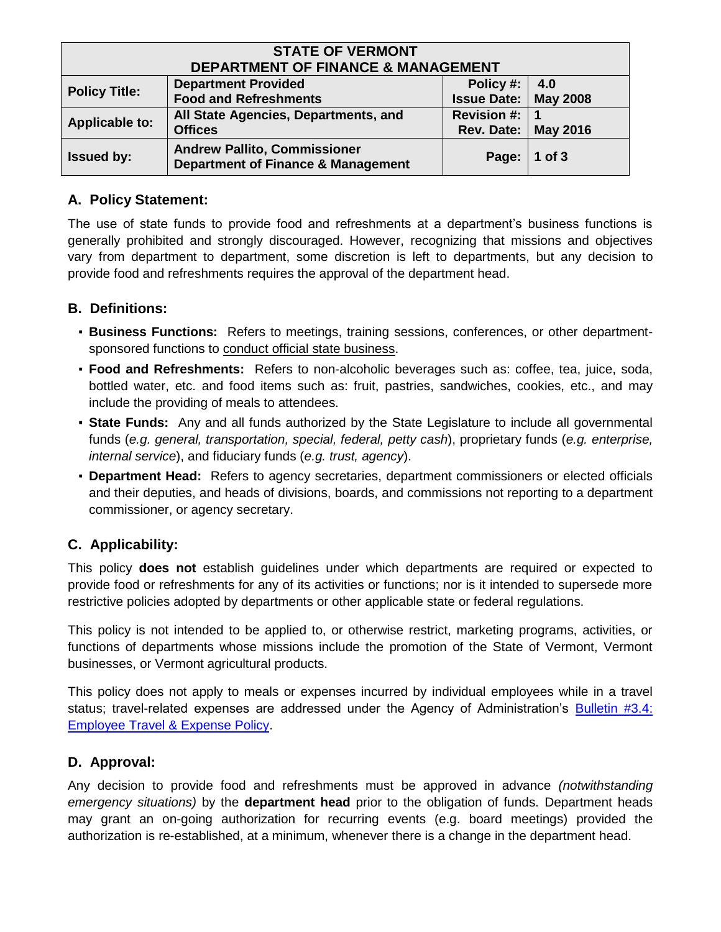| <b>STATE OF VERMONT</b>                       |                                                                                      |                               |                |  |  |
|-----------------------------------------------|--------------------------------------------------------------------------------------|-------------------------------|----------------|--|--|
| <b>DEPARTMENT OF FINANCE &amp; MANAGEMENT</b> |                                                                                      |                               |                |  |  |
| <b>Policy Title:</b>                          | <b>Department Provided</b>                                                           | Policy #: $\vert$             | 4.0            |  |  |
|                                               | <b>Food and Refreshments</b>                                                         | <b>Issue Date:   May 2008</b> |                |  |  |
| <b>Applicable to:</b>                         | All State Agencies, Departments, and                                                 | Revision #: $ 1$              |                |  |  |
|                                               | <b>Offices</b>                                                                       | <b>Rev. Date:   May 2016</b>  |                |  |  |
| <b>Issued by:</b>                             | <b>Andrew Pallito, Commissioner</b><br><b>Department of Finance &amp; Management</b> |                               | Page:   1 of 3 |  |  |

### **A. Policy Statement:**

The use of state funds to provide food and refreshments at a department's business functions is generally prohibited and strongly discouraged. However, recognizing that missions and objectives vary from department to department, some discretion is left to departments, but any decision to provide food and refreshments requires the approval of the department head.

## **B. Definitions:**

- **Business Functions:** Refers to meetings, training sessions, conferences, or other departmentsponsored functions to conduct official state business.
- **Food and Refreshments:** Refers to non-alcoholic beverages such as: coffee, tea, juice, soda, bottled water, etc. and food items such as: fruit, pastries, sandwiches, cookies, etc., and may include the providing of meals to attendees.
- **State Funds:** Any and all funds authorized by the State Legislature to include all governmental funds (*e.g. general, transportation, special, federal, petty cash*), proprietary funds (*e.g. enterprise, internal service*), and fiduciary funds (*e.g. trust, agency*).
- **Department Head:** Refers to agency secretaries, department commissioners or elected officials and their deputies, and heads of divisions, boards, and commissions not reporting to a department commissioner, or agency secretary.

## **C. Applicability:**

This policy **does not** establish guidelines under which departments are required or expected to provide food or refreshments for any of its activities or functions; nor is it intended to supersede more restrictive policies adopted by departments or other applicable state or federal regulations.

This policy is not intended to be applied to, or otherwise restrict, marketing programs, activities, or functions of departments whose missions include the promotion of the State of Vermont, Vermont businesses, or Vermont agricultural products.

This policy does not apply to meals or expenses incurred by individual employees while in a travel status; travel-related expenses are addressed under the Agency of Administration's [Bulletin #3.4:](http://aoa.vermont.gov/bulletins)  [Employee Travel & Expense Policy.](http://aoa.vermont.gov/bulletins)

## **D. Approval:**

Any decision to provide food and refreshments must be approved in advance *(notwithstanding emergency situations)* by the **department head** prior to the obligation of funds. Department heads may grant an on-going authorization for recurring events (e.g. board meetings) provided the authorization is re-established, at a minimum, whenever there is a change in the department head.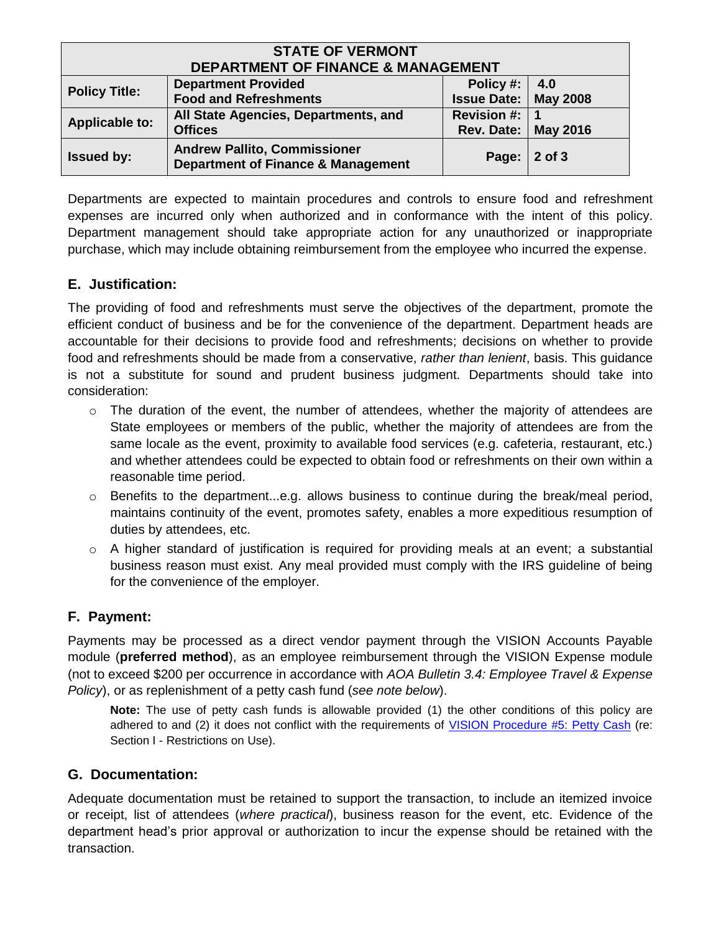| <b>STATE OF VERMONT</b><br><b>DEPARTMENT OF FINANCE &amp; MANAGEMENT</b> |                                                                                      |                               |                 |  |  |
|--------------------------------------------------------------------------|--------------------------------------------------------------------------------------|-------------------------------|-----------------|--|--|
| <b>Policy Title:</b>                                                     | <b>Department Provided</b>                                                           | Policy #: $ 4.0$              |                 |  |  |
|                                                                          | <b>Food and Refreshments</b>                                                         | <b>Issue Date:   May 2008</b> |                 |  |  |
| <b>Applicable to:</b>                                                    | All State Agencies, Departments, and                                                 | Revision #:                   |                 |  |  |
|                                                                          | <b>Offices</b>                                                                       | Rev. Date:                    | <b>May 2016</b> |  |  |
| <b>Issued by:</b>                                                        | <b>Andrew Pallito, Commissioner</b><br><b>Department of Finance &amp; Management</b> | Page:                         | 2 of 3          |  |  |

Departments are expected to maintain procedures and controls to ensure food and refreshment expenses are incurred only when authorized and in conformance with the intent of this policy. Department management should take appropriate action for any unauthorized or inappropriate purchase, which may include obtaining reimbursement from the employee who incurred the expense.

## **E. Justification:**

The providing of food and refreshments must serve the objectives of the department, promote the efficient conduct of business and be for the convenience of the department. Department heads are accountable for their decisions to provide food and refreshments; decisions on whether to provide food and refreshments should be made from a conservative, *rather than lenient*, basis. This guidance is not a substitute for sound and prudent business judgment. Departments should take into consideration:

- $\circ$  The duration of the event, the number of attendees, whether the majority of attendees are State employees or members of the public, whether the majority of attendees are from the same locale as the event, proximity to available food services (e.g. cafeteria, restaurant, etc.) and whether attendees could be expected to obtain food or refreshments on their own within a reasonable time period.
- $\circ$  Benefits to the department...e.g. allows business to continue during the break/meal period, maintains continuity of the event, promotes safety, enables a more expeditious resumption of duties by attendees, etc.
- $\circ$  A higher standard of justification is required for providing meals at an event; a substantial business reason must exist. Any meal provided must comply with the IRS guideline of being for the convenience of the employer.

#### **F. Payment:**

Payments may be processed as a direct vendor payment through the VISION Accounts Payable module (**preferred method**), as an employee reimbursement through the VISION Expense module (not to exceed \$200 per occurrence in accordance with *AOA Bulletin 3.4: Employee Travel & Expense Policy*), or as replenishment of a petty cash fund (*see note below*).

**Note:** The use of petty cash funds is allowable provided (1) the other conditions of this policy are adhered to and (2) it does not conflict with the requirements of [VISION Procedure #5: Petty Cash](http://finance.vermont.gov/policies-and-procedures/vision-procedures) (re: Section I - Restrictions on Use).

#### **G. Documentation:**

Adequate documentation must be retained to support the transaction, to include an itemized invoice or receipt, list of attendees (*where practical*), business reason for the event, etc. Evidence of the department head's prior approval or authorization to incur the expense should be retained with the transaction.